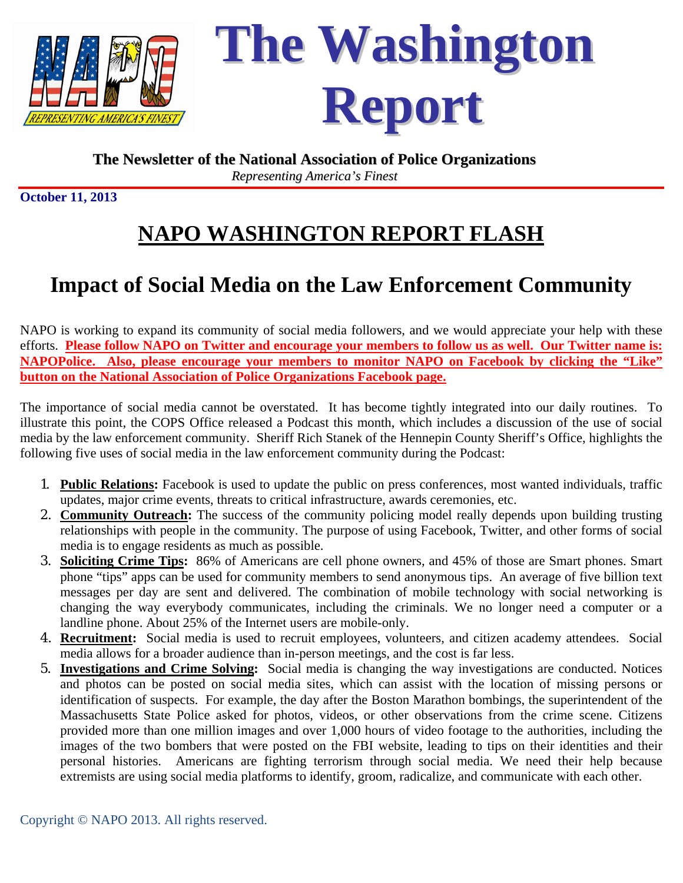

**The Washington Report**

### **The Newsletter of the National Association of Police Organizations** *Representing America's Finest*

**October 11, 2013** 

# **NAPO WASHINGTON REPORT FLASH**

## **Impact of Social Media on the Law Enforcement Community**

NAPO is working to expand its community of social media followers, and we would appreciate your help with these efforts. **Please follow NAPO on Twitter and encourage your members to follow us as well. Our Twitter name is: NAPOPolice. Also, please encourage your members to monitor NAPO on Facebook by clicking the "Like" button on the National Association of Police Organizations Facebook page.**

The importance of social media cannot be overstated. It has become tightly integrated into our daily routines. To illustrate this point, the COPS Office released a Podcast this month, which includes a discussion of the use of social media by the law enforcement community. Sheriff Rich Stanek of the Hennepin County Sheriff's Office, highlights the following five uses of social media in the law enforcement community during the Podcast:

- 1. **Public Relations:** Facebook is used to update the public on press conferences, most wanted individuals, traffic updates, major crime events, threats to critical infrastructure, awards ceremonies, etc.
- 2. **Community Outreach:** The success of the community policing model really depends upon building trusting relationships with people in the community. The purpose of using Facebook, Twitter, and other forms of social media is to engage residents as much as possible.
- 3. **Soliciting Crime Tips:** 86% of Americans are cell phone owners, and 45% of those are Smart phones. Smart phone "tips" apps can be used for community members to send anonymous tips. An average of five billion text messages per day are sent and delivered. The combination of mobile technology with social networking is changing the way everybody communicates, including the criminals. We no longer need a computer or a landline phone. About 25% of the Internet users are mobile-only.
- 4. **Recruitment:** Social media is used to recruit employees, volunteers, and citizen academy attendees. Social media allows for a broader audience than in-person meetings, and the cost is far less.
- 5. **Investigations and Crime Solving:** Social media is changing the way investigations are conducted. Notices and photos can be posted on social media sites, which can assist with the location of missing persons or identification of suspects. For example, the day after the Boston Marathon bombings, the superintendent of the Massachusetts State Police asked for photos, videos, or other observations from the crime scene. Citizens provided more than one million images and over 1,000 hours of video footage to the authorities, including the images of the two bombers that were posted on the FBI website, leading to tips on their identities and their personal histories. Americans are fighting terrorism through social media. We need their help because extremists are using social media platforms to identify, groom, radicalize, and communicate with each other.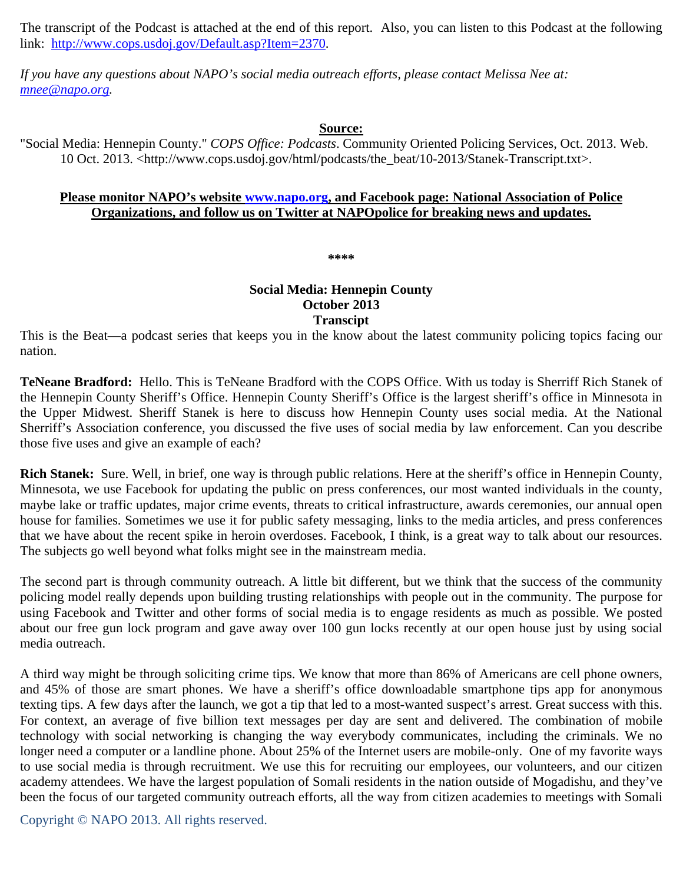The transcript of the Podcast is attached at the end of this report. Also, you can listen to this Podcast at the following link: http://www.cops.usdoj.gov/Default.asp?Item=2370.

*If you have any questions about NAPO's social media outreach efforts, please contact Melissa Nee at: mnee@napo.org.* 

#### **Source:**

"Social Media: Hennepin County." *COPS Office: Podcasts*. Community Oriented Policing Services, Oct. 2013. Web. 10 Oct. 2013. <http://www.cops.usdoj.gov/html/podcasts/the\_beat/10-2013/Stanek-Transcript.txt>.

#### **Please monitor NAPO's website www.napo.org, and Facebook page: National Association of Police Organizations, and follow us on Twitter at NAPOpolice for breaking news and updates.**

**\*\*\*\*** 

#### **Social Media: Hennepin County October 2013 Transcipt**

This is the Beat—a podcast series that keeps you in the know about the latest community policing topics facing our nation.

**TeNeane Bradford:** Hello. This is TeNeane Bradford with the COPS Office. With us today is Sherriff Rich Stanek of the Hennepin County Sheriff's Office. Hennepin County Sheriff's Office is the largest sheriff's office in Minnesota in the Upper Midwest. Sheriff Stanek is here to discuss how Hennepin County uses social media. At the National Sherriff's Association conference, you discussed the five uses of social media by law enforcement. Can you describe those five uses and give an example of each?

**Rich Stanek:** Sure. Well, in brief, one way is through public relations. Here at the sheriff's office in Hennepin County, Minnesota, we use Facebook for updating the public on press conferences, our most wanted individuals in the county, maybe lake or traffic updates, major crime events, threats to critical infrastructure, awards ceremonies, our annual open house for families. Sometimes we use it for public safety messaging, links to the media articles, and press conferences that we have about the recent spike in heroin overdoses. Facebook, I think, is a great way to talk about our resources. The subjects go well beyond what folks might see in the mainstream media.

The second part is through community outreach. A little bit different, but we think that the success of the community policing model really depends upon building trusting relationships with people out in the community. The purpose for using Facebook and Twitter and other forms of social media is to engage residents as much as possible. We posted about our free gun lock program and gave away over 100 gun locks recently at our open house just by using social media outreach.

A third way might be through soliciting crime tips. We know that more than 86% of Americans are cell phone owners, and 45% of those are smart phones. We have a sheriff's office downloadable smartphone tips app for anonymous texting tips. A few days after the launch, we got a tip that led to a most-wanted suspect's arrest. Great success with this. For context, an average of five billion text messages per day are sent and delivered. The combination of mobile technology with social networking is changing the way everybody communicates, including the criminals. We no longer need a computer or a landline phone. About 25% of the Internet users are mobile-only. One of my favorite ways to use social media is through recruitment. We use this for recruiting our employees, our volunteers, and our citizen academy attendees. We have the largest population of Somali residents in the nation outside of Mogadishu, and they've been the focus of our targeted community outreach efforts, all the way from citizen academies to meetings with Somali

Copyright © NAPO 2013. All rights reserved.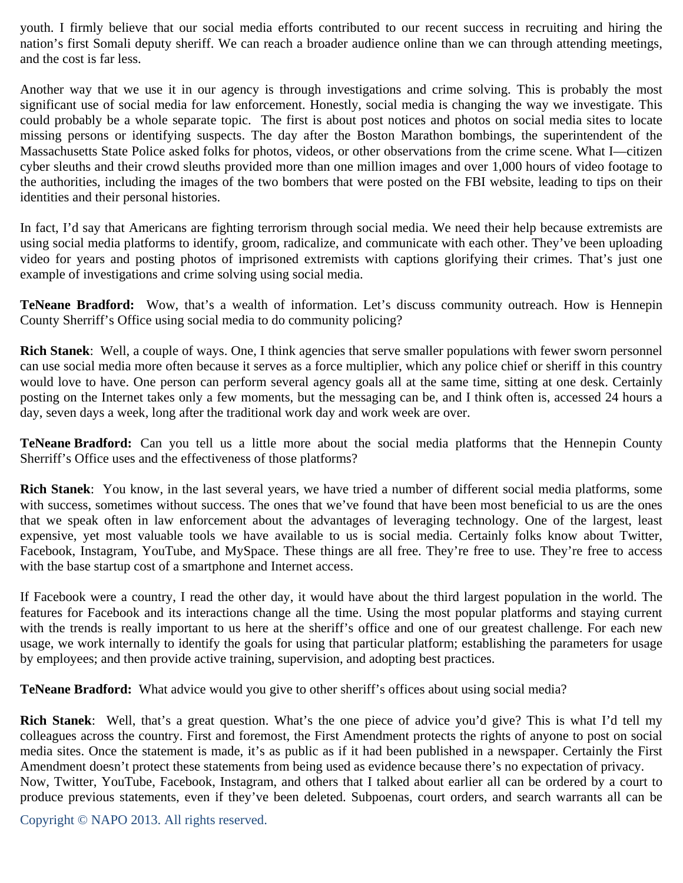youth. I firmly believe that our social media efforts contributed to our recent success in recruiting and hiring the nation's first Somali deputy sheriff. We can reach a broader audience online than we can through attending meetings, and the cost is far less.

Another way that we use it in our agency is through investigations and crime solving. This is probably the most significant use of social media for law enforcement. Honestly, social media is changing the way we investigate. This could probably be a whole separate topic. The first is about post notices and photos on social media sites to locate missing persons or identifying suspects. The day after the Boston Marathon bombings, the superintendent of the Massachusetts State Police asked folks for photos, videos, or other observations from the crime scene. What I—citizen cyber sleuths and their crowd sleuths provided more than one million images and over 1,000 hours of video footage to the authorities, including the images of the two bombers that were posted on the FBI website, leading to tips on their identities and their personal histories.

In fact, I'd say that Americans are fighting terrorism through social media. We need their help because extremists are using social media platforms to identify, groom, radicalize, and communicate with each other. They've been uploading video for years and posting photos of imprisoned extremists with captions glorifying their crimes. That's just one example of investigations and crime solving using social media.

**TeNeane Bradford:** Wow, that's a wealth of information. Let's discuss community outreach. How is Hennepin County Sherriff's Office using social media to do community policing?

**Rich Stanek**: Well, a couple of ways. One, I think agencies that serve smaller populations with fewer sworn personnel can use social media more often because it serves as a force multiplier, which any police chief or sheriff in this country would love to have. One person can perform several agency goals all at the same time, sitting at one desk. Certainly posting on the Internet takes only a few moments, but the messaging can be, and I think often is, accessed 24 hours a day, seven days a week, long after the traditional work day and work week are over.

**TeNeane Bradford:** Can you tell us a little more about the social media platforms that the Hennepin County Sherriff's Office uses and the effectiveness of those platforms?

**Rich Stanek**: You know, in the last several years, we have tried a number of different social media platforms, some with success, sometimes without success. The ones that we've found that have been most beneficial to us are the ones that we speak often in law enforcement about the advantages of leveraging technology. One of the largest, least expensive, yet most valuable tools we have available to us is social media. Certainly folks know about Twitter, Facebook, Instagram, YouTube, and MySpace. These things are all free. They're free to use. They're free to access with the base startup cost of a smartphone and Internet access.

If Facebook were a country, I read the other day, it would have about the third largest population in the world. The features for Facebook and its interactions change all the time. Using the most popular platforms and staying current with the trends is really important to us here at the sheriff's office and one of our greatest challenge. For each new usage, we work internally to identify the goals for using that particular platform; establishing the parameters for usage by employees; and then provide active training, supervision, and adopting best practices.

**TeNeane Bradford:** What advice would you give to other sheriff's offices about using social media?

**Rich Stanek**: Well, that's a great question. What's the one piece of advice you'd give? This is what I'd tell my colleagues across the country. First and foremost, the First Amendment protects the rights of anyone to post on social media sites. Once the statement is made, it's as public as if it had been published in a newspaper. Certainly the First Amendment doesn't protect these statements from being used as evidence because there's no expectation of privacy. Now, Twitter, YouTube, Facebook, Instagram, and others that I talked about earlier all can be ordered by a court to produce previous statements, even if they've been deleted. Subpoenas, court orders, and search warrants all can be

Copyright © NAPO 2013. All rights reserved.